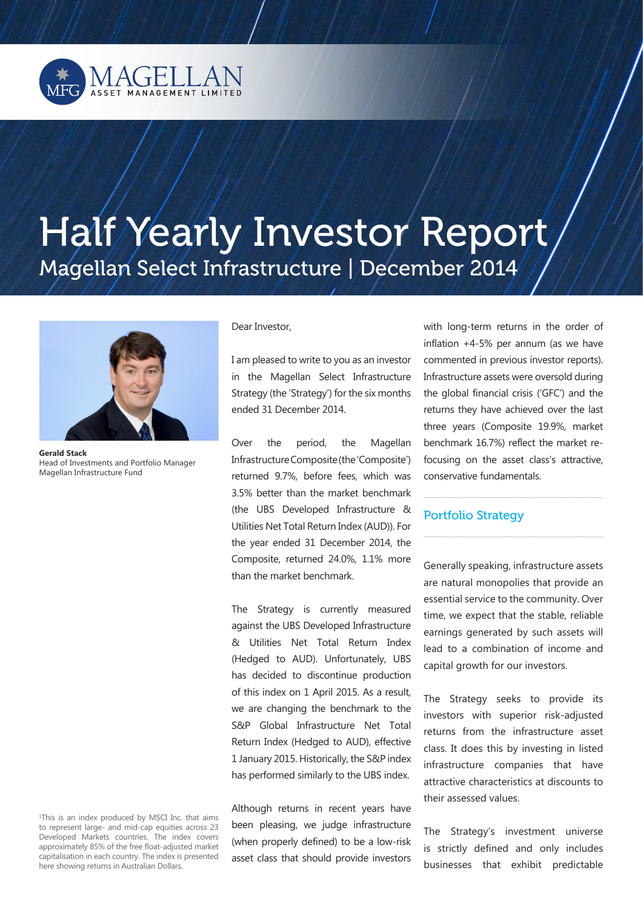

# Half Yearly Investor Report Magellan Select Infrastructure | December 2014



**Gerald Stack**  Head of Investments and Portfolio Manager Magellan Infrastructure Fund

Dear Investor,

I am pleased to write to you as an investor in the Magellan Select Infrastructure Strategy (the 'Strategy') for the six months ended 31 December 2014.

Over the period, the Magellan Infrastructure Composite (the 'Composite') returned 9.7%, before fees, which was 3.5% better than the market benchmark (the UBS Developed Infrastructure & Utilities Net Total Return Index (AUD)). For the year ended 31 December 2014, the Composite, returned 24.0%, 1.1% more than the market benchmark.

The Strategy is currently measured against the UBS Developed Infrastructure & Utilities Net Total Return Index (Hedged to AUD). Unfortunately, UBS has decided to discontinue production of this index on 1 April 2015. As a result, we are changing the benchmark to the S&P Global Infrastructure Net Total Return Index (Hedged to AUD), effective 1 January 2015. Historically, the S&P index has performed similarly to the UBS index.

Although returns in recent years have been pleasing, we judge infrastructure (when properly defined) to be a low-risk asset class that should provide investors with long-term returns in the order of inflation +4-5% per annum (as we have commented in previous investor reports). Infrastructure assets were oversold during the global financial crisis ('GFC') and the returns they have achieved over the last three years (Composite 19.9%, market benchmark 16.7%) reflect the market refocusing on the asset class's attractive, conservative fundamentals.

\_\_\_\_\_\_\_\_\_\_\_\_\_\_\_\_\_\_\_\_\_\_\_\_\_\_\_\_\_\_\_\_\_\_\_\_\_\_\_\_\_\_

\_\_\_\_\_\_\_\_\_\_\_\_\_\_\_\_\_\_\_\_\_\_\_\_\_\_\_\_\_\_\_\_\_\_\_\_\_\_\_\_\_\_

### Portfolio Strategy

Generally speaking, infrastructure assets are natural monopolies that provide an essential service to the community. Over time, we expect that the stable, reliable earnings generated by such assets will lead to a combination of income and capital growth for our investors.

The Strategy seeks to provide its investors with superior risk-adjusted returns from the infrastructure asset class. It does this by investing in listed infrastructure companies that have attractive characteristics at discounts to their assessed values.

The Strategy's investment universe is strictly defined and only includes businesses that exhibit predictable

1 This is an index produced by MSCI Inc. that aims to represent large- and mid-cap equities across 23 Developed Markets countries. The index covers approximately 85% of the free float-adjusted market capitalisation in each country. The index is presented here showing returns in Australian Dollars.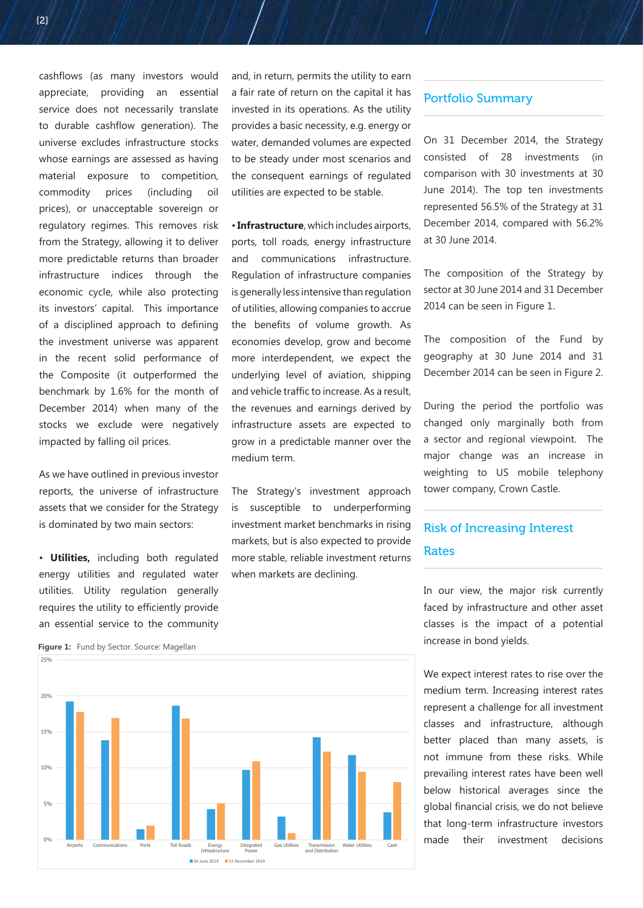cashflows (as many investors would appreciate, providing an essential service does not necessarily translate to durable cashflow generation). The universe excludes infrastructure stocks whose earnings are assessed as having material exposure to competition, commodity prices (including oil prices), or unacceptable sovereign or regulatory regimes. This removes risk from the Strategy, allowing it to deliver more predictable returns than broader infrastructure indices through the economic cycle, while also protecting its investors' capital. This importance of a disciplined approach to defining the investment universe was apparent in the recent solid performance of the Composite (it outperformed the benchmark by 1.6% for the month of December 2014) when many of the stocks we exclude were negatively impacted by falling oil prices.

As we have outlined in previous investor reports, the universe of infrastructure assets that we consider for the Strategy is dominated by two main sectors:

• **Utilities,** including both regulated energy utilities and regulated water utilities. Utility regulation generally requires the utility to efficiently provide an essential service to the community and, in return, permits the utility to earn a fair rate of return on the capital it has invested in its operations. As the utility provides a basic necessity, e.g. energy or water, demanded volumes are expected to be steady under most scenarios and the consequent earnings of regulated utilities are expected to be stable.

• **Infrastructure**, which includes airports, ports, toll roads, energy infrastructure and communications infrastructure. Regulation of infrastructure companies is generally less intensive than regulation of utilities, allowing companies to accrue the benefits of volume growth. As economies develop, grow and become more interdependent, we expect the underlying level of aviation, shipping and vehicle traffic to increase. As a result, the revenues and earnings derived by infrastructure assets are expected to grow in a predictable manner over the medium term.

The Strategy's investment approach is susceptible to underperforming investment market benchmarks in rising markets, but is also expected to provide more stable, reliable investment returns when markets are declining.

#### Portfolio Summary

On 31 December 2014, the Strategy consisted of 28 investments (in comparison with 30 investments at 30 June 2014). The top ten investments represented 56.5% of the Strategy at 31 December 2014, compared with 56.2% at 30 June 2014.

\_\_\_\_\_\_\_\_\_\_\_\_\_\_\_\_\_\_\_\_\_\_\_\_\_\_\_\_\_\_\_\_\_\_\_\_\_\_\_\_\_\_

\_\_\_\_\_\_\_\_\_\_\_\_\_\_\_\_\_\_\_\_\_\_\_\_\_\_\_\_\_\_\_\_\_\_\_\_\_\_\_\_\_\_

The composition of the Strategy by sector at 30 June 2014 and 31 December 2014 can be seen in Figure 1.

The composition of the Fund by geography at 30 June 2014 and 31 December 2014 can be seen in Figure 2.

During the period the portfolio was changed only marginally both from a sector and regional viewpoint. The major change was an increase in weighting to US mobile telephony tower company, Crown Castle.

 $\frac{1}{2}$  , and the set of the set of the set of the set of the set of the set of the set of the set of the set of the set of the set of the set of the set of the set of the set of the set of the set of the set of the set

\_\_\_\_\_\_\_\_\_\_\_\_\_\_\_\_\_\_\_\_\_\_\_\_\_\_\_\_\_\_\_\_\_\_\_\_\_\_\_\_\_\_

# Risk of Increasing Interest Rates

In our view, the major risk currently faced by infrastructure and other asset classes is the impact of a potential increase in bond yields.

We expect interest rates to rise over the medium term. Increasing interest rates represent a challenge for all investment classes and infrastructure, although better placed than many assets, is not immune from these risks. While prevailing interest rates have been well below historical averages since the global financial crisis, we do not believe that long-term infrastructure investors made their investment decisions



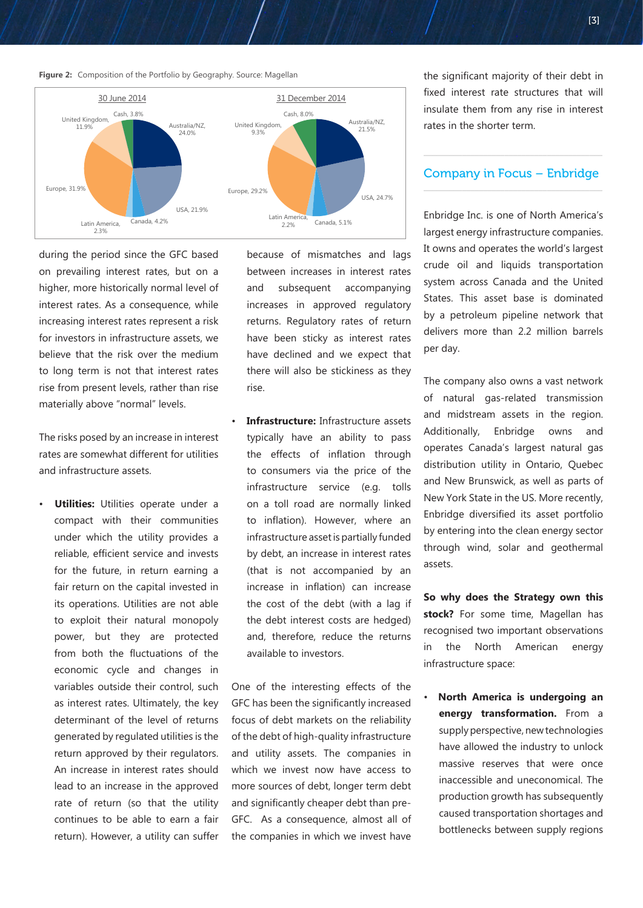**Figure 2:** Composition of the Portfolio by Geography. Source: Magellan



during the period since the GFC based on prevailing interest rates, but on a higher, more historically normal level of interest rates. As a consequence, while increasing interest rates represent a risk for investors in infrastructure assets, we believe that the risk over the medium to long term is not that interest rates rise from present levels, rather than rise materially above "normal" levels.

The risks posed by an increase in interest rates are somewhat different for utilities and infrastructure assets.

• **Utilities:** Utilities operate under a compact with their communities under which the utility provides a reliable, efficient service and invests for the future, in return earning a fair return on the capital invested in its operations. Utilities are not able to exploit their natural monopoly power, but they are protected from both the fluctuations of the economic cycle and changes in variables outside their control, such as interest rates. Ultimately, the key determinant of the level of returns generated by regulated utilities is the return approved by their regulators. An increase in interest rates should lead to an increase in the approved rate of return (so that the utility continues to be able to earn a fair return). However, a utility can suffer because of mismatches and lags between increases in interest rates and subsequent accompanying increases in approved regulatory returns. Regulatory rates of return have been sticky as interest rates have declined and we expect that there will also be stickiness as they rise.

• **Infrastructure:** Infrastructure assets typically have an ability to pass the effects of inflation through to consumers via the price of the infrastructure service (e.g. tolls on a toll road are normally linked to inflation). However, where an infrastructure asset is partially funded by debt, an increase in interest rates (that is not accompanied by an increase in inflation) can increase the cost of the debt (with a lag if the debt interest costs are hedged) and, therefore, reduce the returns available to investors.

One of the interesting effects of the GFC has been the significantly increased focus of debt markets on the reliability of the debt of high-quality infrastructure and utility assets. The companies in which we invest now have access to more sources of debt, longer term debt and significantly cheaper debt than pre-GFC. As a consequence, almost all of the companies in which we invest have the significant majority of their debt in fixed interest rate structures that will insulate them from any rise in interest rates in the shorter term.

#### Company in Focus – Enbridge \_\_\_\_\_\_\_\_\_\_\_\_\_\_\_\_\_\_\_\_\_\_\_\_\_\_\_\_\_\_\_\_\_\_\_\_\_\_\_\_\_\_

 $\overline{\phantom{a}}$  , and the set of the set of the set of the set of the set of the set of the set of the set of the set of the set of the set of the set of the set of the set of the set of the set of the set of the set of the s

Enbridge Inc. is one of North America's largest energy infrastructure companies. It owns and operates the world's largest crude oil and liquids transportation system across Canada and the United States. This asset base is dominated by a petroleum pipeline network that delivers more than 2.2 million barrels per day.

The company also owns a vast network of natural gas-related transmission and midstream assets in the region. Additionally, Enbridge owns and operates Canada's largest natural gas distribution utility in Ontario, Quebec and New Brunswick, as well as parts of New York State in the US. More recently, Enbridge diversified its asset portfolio by entering into the clean energy sector through wind, solar and geothermal assets.

**So why does the Strategy own this stock?** For some time, Magellan has recognised two important observations in the North American energy infrastructure space:

• **North America is undergoing an energy transformation.** From a supply perspective, new technologies have allowed the industry to unlock massive reserves that were once inaccessible and uneconomical. The production growth has subsequently caused transportation shortages and bottlenecks between supply regions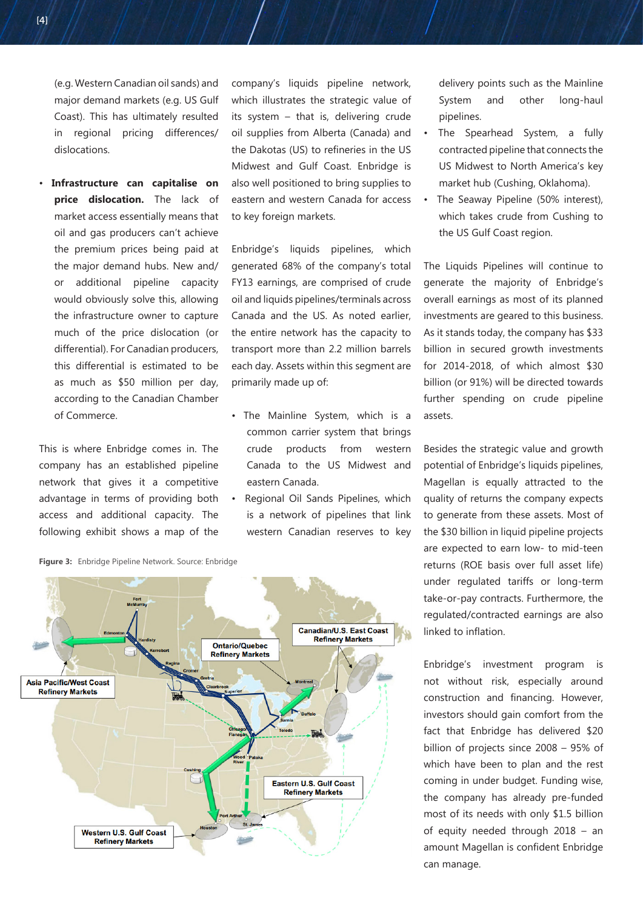• **Infrastructure can capitalise on price dislocation.** The lack of market access essentially means that oil and gas producers can't achieve the premium prices being paid at the major demand hubs. New and/ or additional pipeline capacity would obviously solve this, allowing the infrastructure owner to capture much of the price dislocation (or differential). For Canadian producers, this differential is estimated to be as much as \$50 million per day, according to the Canadian Chamber of Commerce.

This is where Enbridge comes in. The company has an established pipeline network that gives it a competitive advantage in terms of providing both access and additional capacity. The following exhibit shows a map of the company's liquids pipeline network, which illustrates the strategic value of its system – that is, delivering crude oil supplies from Alberta (Canada) and the Dakotas (US) to refineries in the US Midwest and Gulf Coast. Enbridge is also well positioned to bring supplies to eastern and western Canada for access to key foreign markets.

Enbridge's liquids pipelines, which generated 68% of the company's total FY13 earnings, are comprised of crude oil and liquids pipelines/terminals across Canada and the US. As noted earlier, the entire network has the capacity to transport more than 2.2 million barrels each day. Assets within this segment are primarily made up of:

- The Mainline System, which is a common carrier system that brings crude products from western Canada to the US Midwest and eastern Canada.
- Regional Oil Sands Pipelines, which is a network of pipelines that link western Canadian reserves to key

delivery points such as the Mainline System and other long-haul pipelines.

- The Spearhead System, a fully contracted pipeline that connects the US Midwest to North America's key market hub (Cushing, Oklahoma).
- The Seaway Pipeline (50% interest), which takes crude from Cushing to the US Gulf Coast region.

The Liquids Pipelines will continue to generate the majority of Enbridge's overall earnings as most of its planned investments are geared to this business. As it stands today, the company has \$33 billion in secured growth investments for 2014-2018, of which almost \$30 billion (or 91%) will be directed towards further spending on crude pipeline assets.

Besides the strategic value and growth potential of Enbridge's liquids pipelines, Magellan is equally attracted to the quality of returns the company expects to generate from these assets. Most of the \$30 billion in liquid pipeline projects are expected to earn low- to mid-teen returns (ROE basis over full asset life) under regulated tariffs or long-term take-or-pay contracts. Furthermore, the regulated/contracted earnings are also linked to inflation.

Enbridge's investment program is not without risk, especially around construction and financing. However, investors should gain comfort from the fact that Enbridge has delivered \$20 billion of projects since 2008 – 95% of which have been to plan and the rest coming in under budget. Funding wise, the company has already pre-funded most of its needs with only \$1.5 billion of equity needed through 2018 – an amount Magellan is confident Enbridge can manage.



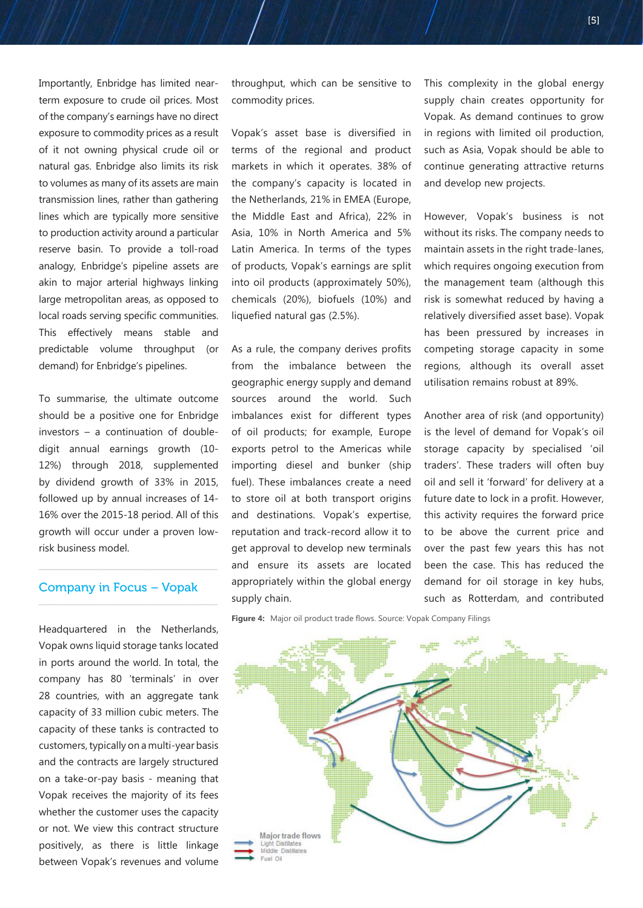Importantly, Enbridge has limited nearterm exposure to crude oil prices. Most of the company's earnings have no direct exposure to commodity prices as a result of it not owning physical crude oil or natural gas. Enbridge also limits its risk to volumes as many of its assets are main transmission lines, rather than gathering lines which are typically more sensitive to production activity around a particular reserve basin. To provide a toll-road analogy, Enbridge's pipeline assets are akin to major arterial highways linking large metropolitan areas, as opposed to local roads serving specific communities. This effectively means stable and predictable volume throughput (or demand) for Enbridge's pipelines.

To summarise, the ultimate outcome should be a positive one for Enbridge investors – a continuation of doubledigit annual earnings growth (10- 12%) through 2018, supplemented by dividend growth of 33% in 2015, followed up by annual increases of 14- 16% over the 2015-18 period. All of this growth will occur under a proven lowrisk business model.

## Company in Focus – Vopak

 $\overline{\phantom{a}}$  , and the contract of the contract of the contract of  $\overline{\phantom{a}}$ 

 $\overline{\phantom{a}}$  , and the contract of the contract of the contract of  $\overline{\phantom{a}}$ 

Headquartered in the Netherlands, Vopak owns liquid storage tanks located in ports around the world. In total, the company has 80 'terminals' in over 28 countries, with an aggregate tank capacity of 33 million cubic meters. The capacity of these tanks is contracted to customers, typically on a multi-year basis and the contracts are largely structured on a take-or-pay basis - meaning that Vopak receives the majority of its fees whether the customer uses the capacity or not. We view this contract structure positively, as there is little linkage between Vopak's revenues and volume

throughput, which can be sensitive to commodity prices.

Vopak's asset base is diversified in terms of the regional and product markets in which it operates. 38% of the company's capacity is located in the Netherlands, 21% in EMEA (Europe, the Middle East and Africa), 22% in Asia, 10% in North America and 5% Latin America. In terms of the types of products, Vopak's earnings are split into oil products (approximately 50%), chemicals (20%), biofuels (10%) and liquefied natural gas (2.5%).

As a rule, the company derives profits from the imbalance between the geographic energy supply and demand sources around the world. Such imbalances exist for different types of oil products; for example, Europe exports petrol to the Americas while importing diesel and bunker (ship fuel). These imbalances create a need to store oil at both transport origins and destinations. Vopak's expertise, reputation and track-record allow it to get approval to develop new terminals and ensure its assets are located appropriately within the global energy supply chain.

This complexity in the global energy supply chain creates opportunity for Vopak. As demand continues to grow in regions with limited oil production, such as Asia, Vopak should be able to continue generating attractive returns and develop new projects.

However, Vopak's business is not without its risks. The company needs to maintain assets in the right trade-lanes, which requires ongoing execution from the management team (although this risk is somewhat reduced by having a relatively diversified asset base). Vopak has been pressured by increases in competing storage capacity in some regions, although its overall asset utilisation remains robust at 89%.

Another area of risk (and opportunity) is the level of demand for Vopak's oil storage capacity by specialised 'oil traders'. These traders will often buy oil and sell it 'forward' for delivery at a future date to lock in a profit. However, this activity requires the forward price to be above the current price and over the past few years this has not been the case. This has reduced the demand for oil storage in key hubs, such as Rotterdam, and contributed

**Figure 4:** Major oil product trade flows. Source: Vopak Company Filings

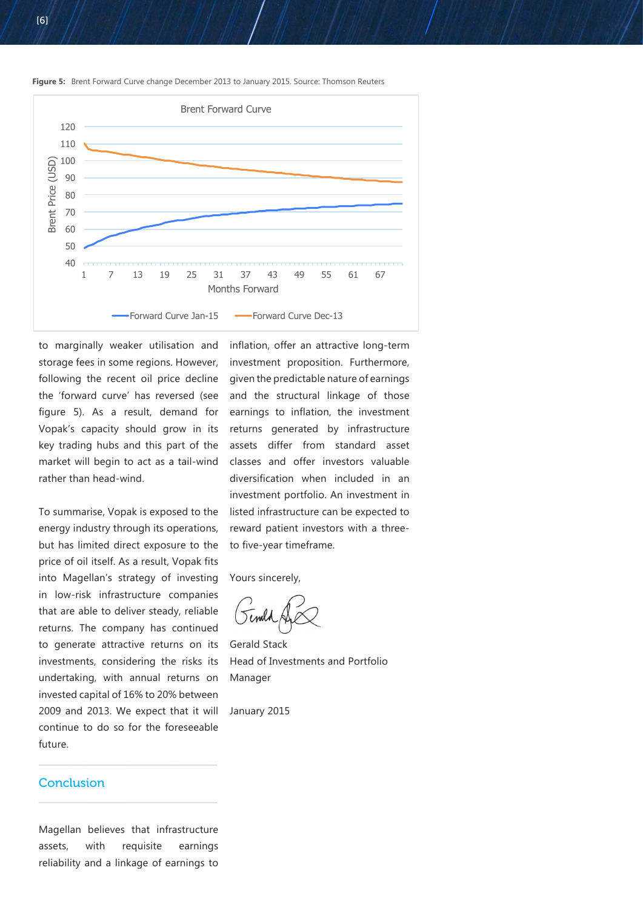

**Figure 5:** Brent Forward Curve change December 2013 to January 2015. Source: Thomson Reuters

to marginally weaker utilisation and storage fees in some regions. However, following the recent oil price decline the 'forward curve' has reversed (see figure 5). As a result, demand for Vopak's capacity should grow in its key trading hubs and this part of the market will begin to act as a tail-wind rather than head-wind.

To summarise, Vopak is exposed to the energy industry through its operations, but has limited direct exposure to the price of oil itself. As a result, Vopak fits into Magellan's strategy of investing in low-risk infrastructure companies that are able to deliver steady, reliable returns. The company has continued to generate attractive returns on its investments, considering the risks its undertaking, with annual returns on invested capital of 16% to 20% between 2009 and 2013. We expect that it will continue to do so for the foreseeable future.

investment proposition. Furthermore, given the predictable nature of earnings and the structural linkage of those earnings to inflation, the investment returns generated by infrastructure assets differ from standard asset classes and offer investors valuable diversification when included in an investment portfolio. An investment in listed infrastructure can be expected to reward patient investors with a threeto five-year timeframe.

inflation, offer an attractive long-term

Yours sincerely,

Gerald Stack Head of Investments and Portfolio Manager

January 2015

#### **Conclusion**

Magellan believes that infrastructure assets, with requisite earnings reliability and a linkage of earnings to

 $\frac{1}{2}$  , and the set of the set of the set of the set of the set of the set of the set of the set of the set of the set of the set of the set of the set of the set of the set of the set of the set of the set of the set

 $\frac{1}{2}$  , and the set of the set of the set of the set of the set of the set of the set of the set of the set of the set of the set of the set of the set of the set of the set of the set of the set of the set of the set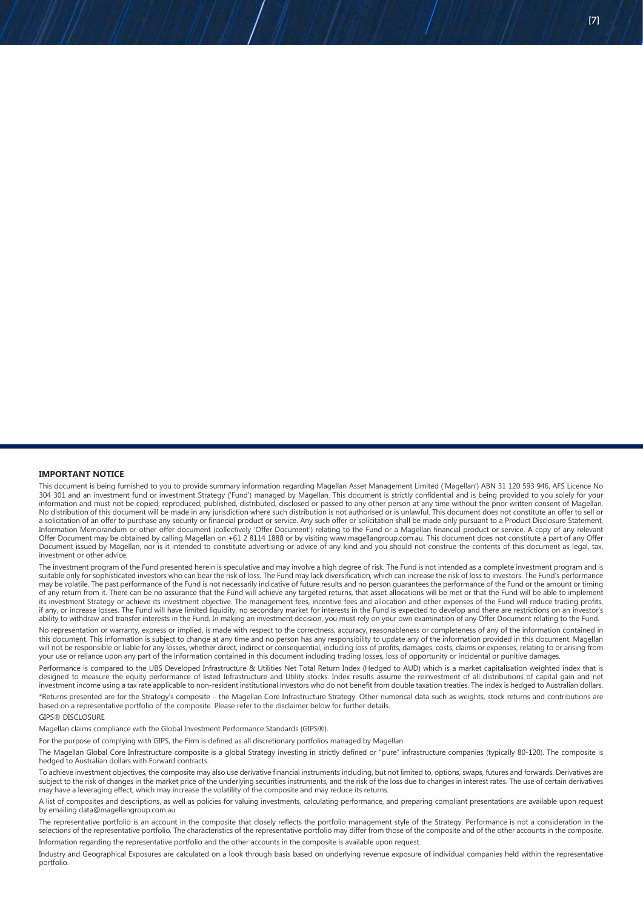This document is being furnished to you to provide summary information regarding Magellan Asset Management Limited ('Magellan') ABN 31 120 593 946, AFS Licence No 304 301 and an investment fund or investment Strategy ('Fund') managed by Magellan. This document is strictly confidential and is being provided to you solely for your information and must not be copied, reproduced, published, distributed, disclosed or passed to any other person at any time without the prior written consent of Magellan. No distribution of this document will be made in any jurisdiction where such distribution is not authorised or is unlawful. This document does not constitute an offer to sell or a solicitation of an offer to purchase any security or financial product or service. Any such offer or solicitation shall be made only pursuant to a Product Disclosure Statement, Information Memorandum or other offer document (collectively 'Offer Document') relating to the Fund or a Magellan financial product or service. A copy of any relevant Offer Document may be obtained by calling Magellan on +61 2 8114 1888 or by visiting www.magellangroup.com.au. This document does not constitute a part of any Offer Document issued by Magellan, nor is it intended to constitute advertising or advice of any kind and you should not construe the contents of this document as legal, tax, investment or other advice.

The investment program of the Fund presented herein is speculative and may involve a high degree of risk. The Fund is not intended as a complete investment program and is suitable only for sophisticated investors who can bear the risk of loss. The Fund may lack diversification, which can increase the risk of loss to investors. The Fund's performance expressed the past performance of the Fund is not necessarily indicative of future results and no person guarantees the performance of the Fund or the amount or timing may be volatile. The past performance of the Fund or t of any return from it. There can be no assurance that the Fund will achieve any targeted returns, that asset allocations will be met or that the Fund will be able to implement its investment Strategy or achieve its investment objective. The management fees, incentive fees and allocation and other expenses of the Fund will reduce trading profits, if any, or increase losses. The Fund will have limited liquidity, no secondary market for interests in the Fund is expected to develop and there are restrictions on an investor's ability to withdraw and transfer interests in the Fund. In making an investment decision, you must rely on your own examination of any Offer Document relating to the Fund.

No representation or warranty, express or implied, is made with respect to the correctness, accuracy, reasonableness or completeness of any of the information contained in this document. This information is subject to change at any time and no person has any responsibility to update any of the information provided in this document. Magellan will not be responsible or liable for any losses, whether direct, indirect or consequential, including loss of profits, damages, costs, claims or expenses, relating to or arising from your use or reliance upon any part of the information contained in this document including trading losses, loss of opportunity or incidental or punitive damages.

Performance is compared to the UBS Developed Infrastructure & Utilities Net Total Return Index (Hedged to AUD) which is a market capitalisation weighted index that is designed to measure the equity performance of listed Infrastructure and Utility stocks. Index results assume the reinvestment of all distributions of capital gain and net investment income using a tax rate applicable to non-resident institutional investors who do not benefit from double taxation treaties. The index is hedged to Australian dollars. \*Returns presented are for the Strategy's composite – the Magellan Core Infrastructure Strategy. Other numerical data such as weights, stock returns and contributions are based on a representative portfolio of the composite. Please refer to the disclaimer below for further details.

GIPS® DISCLOSURE

Magellan claims compliance with the Global Investment Performance Standards (GIPS®).

For the purpose of complying with GIPS, the Firm is defined as all discretionary portfolios managed by Magellan.

The Magellan Global Core Infrastructure composite is a global Strategy investing in strictly defined or "pure" infrastructure companies (typically 80-120). The composite is hedged to Australian dollars with Forward contracts.

To achieve investment objectives, the composite may also use derivative financial instruments including, but not limited to, options, swaps, futures and forwards. Derivatives are subject to the risk of changes in the market price of the underlying securities instruments, and the risk of the loss due to changes in interest rates. The use of certain derivatives may have a leveraging effect, which may increase the volatility of the composite and may reduce its returns.

A list of composites and descriptions, as well as policies for valuing investments, calculating performance, and preparing compliant presentations are available upon request by emailing data@magellangroup.com.au

The representative portfolio is an account in the composite that closely reflects the portfolio management style of the Strategy. Performance is not a consideration in the selections of the representative portfolio. The characteristics of the representative portfolio may differ from those of the composite and of the other accounts in the composite. Information regarding the representative portfolio and the other accounts in the composite is available upon request.

Industry and Geographical Exposures are calculated on a look through basis based on underlying revenue exposure of individual companies held within the representative portfolio.